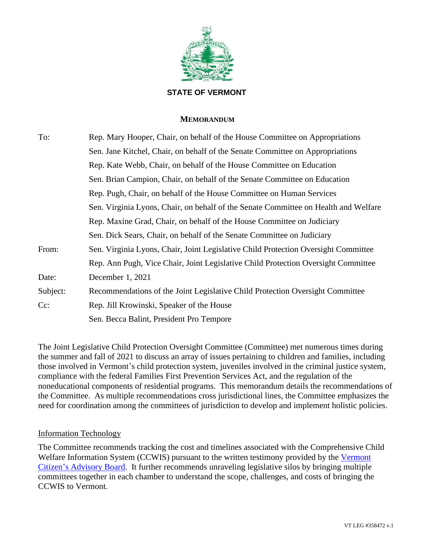

#### **STATE OF VERMONT**

#### **MEMORANDUM**

| To:      | Rep. Mary Hooper, Chair, on behalf of the House Committee on Appropriations         |
|----------|-------------------------------------------------------------------------------------|
|          | Sen. Jane Kitchel, Chair, on behalf of the Senate Committee on Appropriations       |
|          | Rep. Kate Webb, Chair, on behalf of the House Committee on Education                |
|          | Sen. Brian Campion, Chair, on behalf of the Senate Committee on Education           |
|          | Rep. Pugh, Chair, on behalf of the House Committee on Human Services                |
|          | Sen. Virginia Lyons, Chair, on behalf of the Senate Committee on Health and Welfare |
|          | Rep. Maxine Grad, Chair, on behalf of the House Committee on Judiciary              |
|          | Sen. Dick Sears, Chair, on behalf of the Senate Committee on Judiciary              |
| From:    | Sen. Virginia Lyons, Chair, Joint Legislative Child Protection Oversight Committee  |
|          | Rep. Ann Pugh, Vice Chair, Joint Legislative Child Protection Oversight Committee   |
| Date:    | December 1, 2021                                                                    |
| Subject: | Recommendations of the Joint Legislative Child Protection Oversight Committee       |
| $Cc$ :   | Rep. Jill Krowinski, Speaker of the House                                           |
|          | Sen. Becca Balint, President Pro Tempore                                            |

The Joint Legislative Child Protection Oversight Committee (Committee) met numerous times during the summer and fall of 2021 to discuss an array of issues pertaining to children and families, including those involved in Vermont's child protection system, juveniles involved in the criminal justice system, compliance with the federal Families First Prevention Services Act, and the regulation of the noneducational components of residential programs. This memorandum details the recommendations of the Committee. As multiple recommendations cross jurisdictional lines, the Committee emphasizes the need for coordination among the committees of jurisdiction to develop and implement holistic policies.

#### Information Technology

The Committee recommends tracking the cost and timelines associated with the Comprehensive Child Welfare Information System (CCWIS) pursuant to the written testimony provided by the Vermont [Citizen's Advisory Board.](https://legislature.vermont.gov/Documents/2022/WorkGroups/Child%20Protection%20Oversight/DCF/W~Sally%20Borden~Letter%20from%20VCAB%20to%20VT%20DCF~11-19-2021.pdf) It further recommends unraveling legislative silos by bringing multiple committees together in each chamber to understand the scope, challenges, and costs of bringing the CCWIS to Vermont.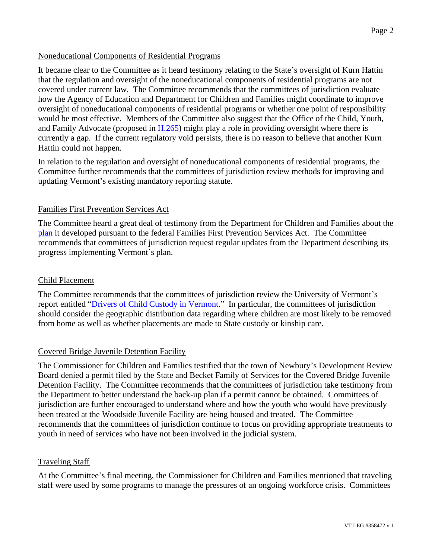# Noneducational Components of Residential Programs

It became clear to the Committee as it heard testimony relating to the State's oversight of Kurn Hattin that the regulation and oversight of the noneducational components of residential programs are not covered under current law. The Committee recommends that the committees of jurisdiction evaluate how the Agency of Education and Department for Children and Families might coordinate to improve oversight of noneducational components of residential programs or whether one point of responsibility would be most effective. Members of the Committee also suggest that the Office of the Child, Youth, and Family Advocate (proposed in [H.265\)](https://legislature.vermont.gov/Documents/2022/Docs/BILLS/H-0265/H-0265%20As%20Passed%20by%20the%20House%20Unofficial.pdf) might play a role in providing oversight where there is currently a gap. If the current regulatory void persists, there is no reason to believe that another Kurn Hattin could not happen.

In relation to the regulation and oversight of noneducational components of residential programs, the Committee further recommends that the committees of jurisdiction review methods for improving and updating Vermont's existing mandatory reporting statute.

## Families First Prevention Services Act

The Committee heard a great deal of testimony from the Department for Children and Families about the [plan](https://legislature.vermont.gov/Documents/2022/WorkGroups/Child%20Protection%20Oversight/Reports%20and%20Resources/W~Dept%20of%20Children%20and%20Familiy%20Services~Vermont) it developed pursuant to the federal Families First Prevention Services Act. The Committee recommends that committees of jurisdiction request regular updates from the Department describing its progress implementing Vermont's plan.

## Child Placement

The Committee recommends that the committees of jurisdiction review the University of Vermont's report entitled ["Drivers of Child Custody in Vermont.](https://legislature.vermont.gov/Documents/2022/WorkGroups/Child%20Protection%20Oversight/Custody%20Issues/W~Jessica%20Strolin-Goltzman~Drivers%20of%20Custody-Final%20Report~10-29-2021.pdf)" In particular, the committees of jurisdiction should consider the geographic distribution data regarding where children are most likely to be removed from home as well as whether placements are made to State custody or kinship care.

## Covered Bridge Juvenile Detention Facility

The Commissioner for Children and Families testified that the town of Newbury's Development Review Board denied a permit filed by the State and Becket Family of Services for the Covered Bridge Juvenile Detention Facility. The Committee recommends that the committees of jurisdiction take testimony from the Department to better understand the back-up plan if a permit cannot be obtained. Committees of jurisdiction are further encouraged to understand where and how the youth who would have previously been treated at the Woodside Juvenile Facility are being housed and treated. The Committee recommends that the committees of jurisdiction continue to focus on providing appropriate treatments to youth in need of services who have not been involved in the judicial system.

## Traveling Staff

At the Committee's final meeting, the Commissioner for Children and Families mentioned that traveling staff were used by some programs to manage the pressures of an ongoing workforce crisis. Committees